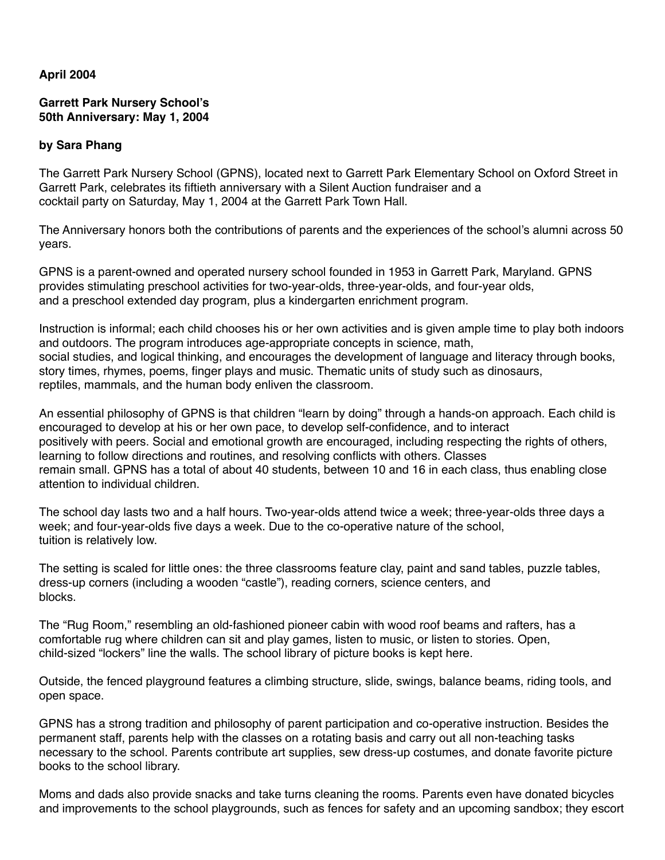## **April 2004**

## **Garrett Park Nursery School's 50th Anniversary: May 1, 2004**

## **by Sara Phang**

The Garrett Park Nursery School (GPNS), located next to Garrett Park Elementary School on Oxford Street in Garrett Park, celebrates its fiftieth anniversary with a Silent Auction fundraiser and a cocktail party on Saturday, May 1, 2004 at the Garrett Park Town Hall.

The Anniversary honors both the contributions of parents and the experiences of the school's alumni across 50 years.

GPNS is a parent-owned and operated nursery school founded in 1953 in Garrett Park, Maryland. GPNS provides stimulating preschool activities for two-year-olds, three-year-olds, and four-year olds, and a preschool extended day program, plus a kindergarten enrichment program.

Instruction is informal; each child chooses his or her own activities and is given ample time to play both indoors and outdoors. The program introduces age-appropriate concepts in science, math, social studies, and logical thinking, and encourages the development of language and literacy through books, story times, rhymes, poems, finger plays and music. Thematic units of study such as dinosaurs, reptiles, mammals, and the human body enliven the classroom.

An essential philosophy of GPNS is that children "learn by doing" through a hands-on approach. Each child is encouraged to develop at his or her own pace, to develop self-confidence, and to interact positively with peers. Social and emotional growth are encouraged, including respecting the rights of others, learning to follow directions and routines, and resolving conflicts with others. Classes remain small. GPNS has a total of about 40 students, between 10 and 16 in each class, thus enabling close attention to individual children.

The school day lasts two and a half hours. Two-year-olds attend twice a week; three-year-olds three days a week; and four-year-olds five days a week. Due to the co-operative nature of the school, tuition is relatively low.

The setting is scaled for little ones: the three classrooms feature clay, paint and sand tables, puzzle tables, dress-up corners (including a wooden "castle"), reading corners, science centers, and blocks.

The "Rug Room," resembling an old-fashioned pioneer cabin with wood roof beams and rafters, has a comfortable rug where children can sit and play games, listen to music, or listen to stories. Open, child-sized "lockers" line the walls. The school library of picture books is kept here.

Outside, the fenced playground features a climbing structure, slide, swings, balance beams, riding tools, and open space.

GPNS has a strong tradition and philosophy of parent participation and co-operative instruction. Besides the permanent staff, parents help with the classes on a rotating basis and carry out all non-teaching tasks necessary to the school. Parents contribute art supplies, sew dress-up costumes, and donate favorite picture books to the school library.

Moms and dads also provide snacks and take turns cleaning the rooms. Parents even have donated bicycles and improvements to the school playgrounds, such as fences for safety and an upcoming sandbox; they escort